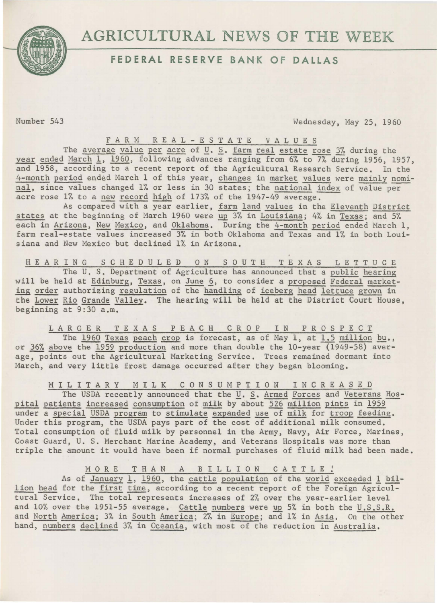

## AGRICULTURAL NEWS OF THE WEEK

## **FEDERAL RESERVE BANK OF DALLAS**

Number 543 Wednesday, May 25, 1960

F A R M R E A L - E S T A T E V A L U E S

The average value per acre of *U*. S. farm real estate rose 3% during the year ended March 1, 1960, following advances ranging from 6% to 7% during 1956, 1957, and 1958, according to a recent report of the Agricultural Research Service. In the 4-month period ended March 1 of this year, changes in market values were mainly nominal, since values changed 1% or less in 30 states; the national index of value per acre rose 1% to a new record high of 173% of the 1947-49 average.

As compared with a year earlier, farm land values in the Eleventh District states at the beginning of March 1960 were up  $3\%$  in Louisiana; 4% in Texas; and  $5\%$ each in Arizona, New Mexico, and Oklahoma. During the 4-month period ended March 1, farm real-estate values increased 3% in both Oklahoma and Texas and 1% in both Louisiana and New Mexico but declined 1% in Arizona.

HE ARING SCHEDULED ON SOUTH TEXAS LETTUCE The U. S. Department of Agriculture has announced that a public hearing will be held at Edinburg, Texas, on June 6, to consider a proposed Federal marketing order authorizing regulation of the handling of iceberg head lettuce grown in the Lower Rio Grande Valley. The hearing will be held at the District Court House, beginning at 9:30 a.m.

LARGER TEXAS PEACH CROP IN PROSPECT The 1960 Texas peach crop is forecast, as of May 1, at 1.5 million bu., or 36% above the 1959 production and more than double the 10-year (1949-58) average, points out the Agricultural Marketing Service. Trees remained dormant into March, and very little frost damage occurred after they began blooming.

MILITARY MILK C 0 N S U M P T I 0 N I N C R E A S E D The USDA recently announced that the U. S. Armed Forces and Veterans Hospital patients increased consumption of milk by about 526 million pints in 1959 under a special USDA program to stimulate expanded use of milk for troop feeding. Under this program, the USDA pays part of the cost of additional milk consumed. Total consumption of fluid milk by personnel in the Army, Navy, Air Force, Marines, Coast Guard, U. S. Merchant Marine Academy, and Veterans Hospitals was more than triple the amount it would have been if normal purchases of fluid milk had been made.

M 0 RE T H A N A B I L L I 0 N C A T T L E !

As of January 1, 1960, the cattle population of the world exceeded 1 billion head for the first time, according to a recent report of the Foreign Agricultural Service. The total represents increases of 2% over the year-earlier level and  $10\%$  over the 1951-55 average. Cattle numbers were up 5% in both the U.S.S.R. and North America; 3% in South America; 2% in Europe; and 1% in Asia, On the other hand, numbers declined 3% in Oceania, with most of the reduction in Australia.